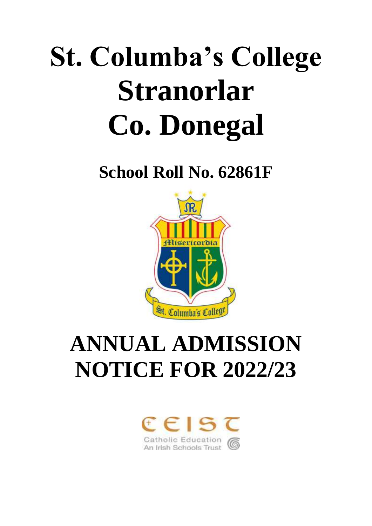# **St. Columba's College Stranorlar Co. Donegal**

**School Roll No. 62861F**



## **ANNUAL ADMISSION NOTICE FOR 2022/23**

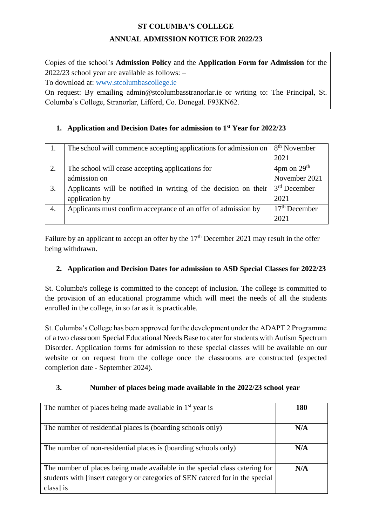#### **ST COLUMBA'S COLLEGE**

#### **ANNUAL ADMISSION NOTICE FOR 2022/23**

Copies of the school's **Admission Policy** and the **Application Form for Admission** for the 2022/23 school year are available as follows: –

To download at: [www.stcolumbascollege.ie](http://www.stcolumbascollege.ie/)

On request: By emailing admin@stcolumbasstranorlar.ie or writing to: The Principal, St. Columba's College, Stranorlar, Lifford, Co. Donegal. F93KN62.

#### **1. Application and Decision Dates for admission to 1 st Year for 2022/23**

|    | The school will commence accepting applications for admission on               | 8 <sup>th</sup> November          |
|----|--------------------------------------------------------------------------------|-----------------------------------|
|    |                                                                                | 2021                              |
| 2. | The school will cease accepting applications for                               | $4 \text{pm}$ on $29^{\text{th}}$ |
|    | admission on                                                                   | November 2021                     |
| 3. | Applicants will be notified in writing of the decision on their $3rd$ December |                                   |
|    | application by                                                                 | 2021                              |
| 4. | Applicants must confirm acceptance of an offer of admission by                 | $17th$ December                   |
|    |                                                                                | 2021                              |

Failure by an applicant to accept an offer by the 17<sup>th</sup> December 2021 may result in the offer being withdrawn.

#### **2. Application and Decision Dates for admission to ASD Special Classes for 2022/23**

St. Columba's college is committed to the concept of inclusion. The college is committed to the provision of an educational programme which will meet the needs of all the students enrolled in the college, in so far as it is practicable.

St. Columba's College has been approved for the development under the ADAPT 2 Programme of a two classroom Special Educational Needs Base to cater for students with Autism Spectrum Disorder. Application forms for admission to these special classes will be available on our website or on request from the college once the classrooms are constructed (expected completion date - September 2024).

#### **3. Number of places being made available in the 2022/23 school year**

| The number of places being made available in $1st$ year is                                                                                                                | 180 |
|---------------------------------------------------------------------------------------------------------------------------------------------------------------------------|-----|
| The number of residential places is (boarding schools only)                                                                                                               | N/A |
| The number of non-residential places is (boarding schools only)                                                                                                           | N/A |
| The number of places being made available in the special class catering for<br>students with [insert category or categories of SEN catered for in the special<br>class is | N/A |